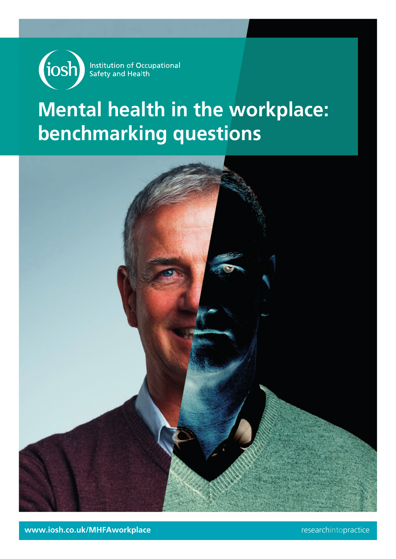

Institution of Occupational<br>Safety and Health

# **Mental health in the workplace: benchmarking questions**



**www.iosh.co.uk/MHFAworkplace** researchintopractice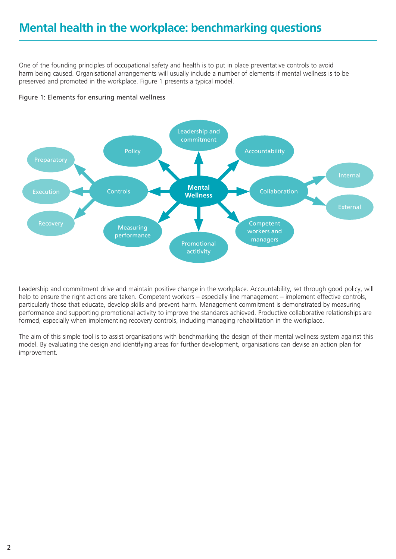One of the founding principles of occupational safety and health is to put in place preventative controls to avoid harm being caused. Organisational arrangements will usually include a number of elements if mental wellness is to be preserved and promoted in the workplace. Figure 1 presents a typical model.





Leadership and commitment drive and maintain positive change in the workplace. Accountability, set through good policy, will help to ensure the right actions are taken. Competent workers – especially line management – implement effective controls, particularly those that educate, develop skills and prevent harm. Management commitment is demonstrated by measuring performance and supporting promotional activity to improve the standards achieved. Productive collaborative relationships are formed, especially when implementing recovery controls, including managing rehabilitation in the workplace.

The aim of this simple tool is to assist organisations with benchmarking the design of their mental wellness system against this model. By evaluating the design and identifying areas for further development, organisations can devise an action plan for improvement.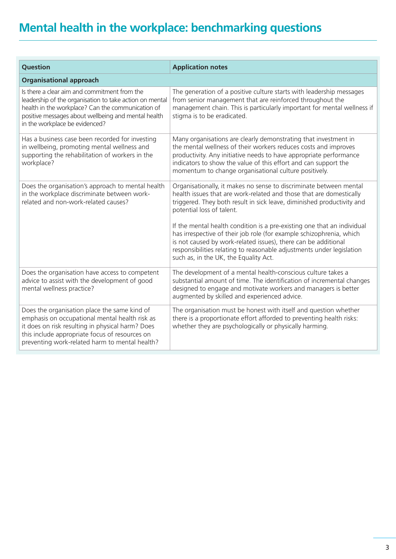| Question                                                                                                                                                                                                                                               | <b>Application notes</b>                                                                                                                                                                                                                                                                                                             |  |
|--------------------------------------------------------------------------------------------------------------------------------------------------------------------------------------------------------------------------------------------------------|--------------------------------------------------------------------------------------------------------------------------------------------------------------------------------------------------------------------------------------------------------------------------------------------------------------------------------------|--|
| <b>Organisational approach</b>                                                                                                                                                                                                                         |                                                                                                                                                                                                                                                                                                                                      |  |
| Is there a clear aim and commitment from the<br>leadership of the organisation to take action on mental<br>health in the workplace? Can the communication of<br>positive messages about wellbeing and mental health<br>in the workplace be evidenced?  | The generation of a positive culture starts with leadership messages<br>from senior management that are reinforced throughout the<br>management chain. This is particularly important for mental wellness if<br>stigma is to be eradicated.                                                                                          |  |
| Has a business case been recorded for investing<br>in wellbeing, promoting mental wellness and<br>supporting the rehabilitation of workers in the<br>workplace?                                                                                        | Many organisations are clearly demonstrating that investment in<br>the mental wellness of their workers reduces costs and improves<br>productivity. Any initiative needs to have appropriate performance<br>indicators to show the value of this effort and can support the<br>momentum to change organisational culture positively. |  |
| Does the organisation's approach to mental health<br>in the workplace discriminate between work-<br>related and non-work-related causes?                                                                                                               | Organisationally, it makes no sense to discriminate between mental<br>health issues that are work-related and those that are domestically<br>triggered. They both result in sick leave, diminished productivity and<br>potential loss of talent.                                                                                     |  |
|                                                                                                                                                                                                                                                        | If the mental health condition is a pre-existing one that an individual<br>has irrespective of their job role (for example schizophrenia, which<br>is not caused by work-related issues), there can be additional<br>responsibilities relating to reasonable adjustments under legislation<br>such as, in the UK, the Equality Act.  |  |
| Does the organisation have access to competent<br>advice to assist with the development of good<br>mental wellness practice?                                                                                                                           | The development of a mental health-conscious culture takes a<br>substantial amount of time. The identification of incremental changes<br>designed to engage and motivate workers and managers is better<br>augmented by skilled and experienced advice.                                                                              |  |
| Does the organisation place the same kind of<br>emphasis on occupational mental health risk as<br>it does on risk resulting in physical harm? Does<br>this include appropriate focus of resources on<br>preventing work-related harm to mental health? | The organisation must be honest with itself and question whether<br>there is a proportionate effort afforded to preventing health risks:<br>whether they are psychologically or physically harming.                                                                                                                                  |  |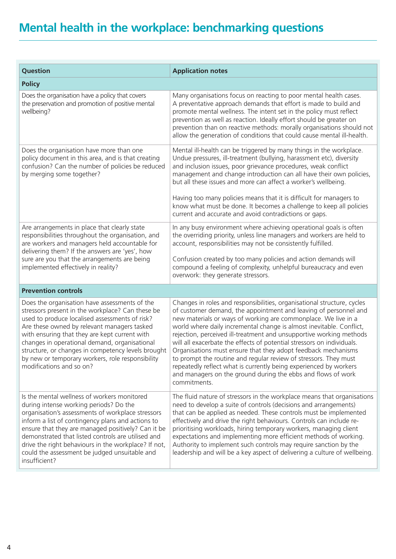| Question                                                                                                                                                                                                                                                                                                                                                                                                                                   | <b>Application notes</b>                                                                                                                                                                                                                                                                                                                                                                                                                                                                                                                                                                                                                                                                                                         |
|--------------------------------------------------------------------------------------------------------------------------------------------------------------------------------------------------------------------------------------------------------------------------------------------------------------------------------------------------------------------------------------------------------------------------------------------|----------------------------------------------------------------------------------------------------------------------------------------------------------------------------------------------------------------------------------------------------------------------------------------------------------------------------------------------------------------------------------------------------------------------------------------------------------------------------------------------------------------------------------------------------------------------------------------------------------------------------------------------------------------------------------------------------------------------------------|
| <b>Policy</b>                                                                                                                                                                                                                                                                                                                                                                                                                              |                                                                                                                                                                                                                                                                                                                                                                                                                                                                                                                                                                                                                                                                                                                                  |
| Does the organisation have a policy that covers<br>the preservation and promotion of positive mental<br>wellbeing?                                                                                                                                                                                                                                                                                                                         | Many organisations focus on reacting to poor mental health cases.<br>A preventative approach demands that effort is made to build and<br>promote mental wellness. The intent set in the policy must reflect<br>prevention as well as reaction. Ideally effort should be greater on<br>prevention than on reactive methods: morally organisations should not<br>allow the generation of conditions that could cause mental ill-health.                                                                                                                                                                                                                                                                                            |
| Does the organisation have more than one<br>policy document in this area, and is that creating<br>confusion? Can the number of policies be reduced<br>by merging some together?                                                                                                                                                                                                                                                            | Mental ill-health can be triggered by many things in the workplace.<br>Undue pressures, ill-treatment (bullying, harassment etc), diversity<br>and inclusion issues, poor grievance procedures, weak conflict<br>management and change introduction can all have their own policies,<br>but all these issues and more can affect a worker's wellbeing.<br>Having too many policies means that it is difficult for managers to<br>know what must be done. It becomes a challenge to keep all policies<br>current and accurate and avoid contradictions or gaps.                                                                                                                                                                   |
| Are arrangements in place that clearly state<br>responsibilities throughout the organisation, and<br>are workers and managers held accountable for<br>delivering them? If the answers are 'yes', how<br>sure are you that the arrangements are being<br>implemented effectively in reality?                                                                                                                                                | In any busy environment where achieving operational goals is often<br>the overriding priority, unless line managers and workers are held to<br>account, responsibilities may not be consistently fulfilled.<br>Confusion created by too many policies and action demands will<br>compound a feeling of complexity, unhelpful bureaucracy and even<br>overwork: they generate stressors.                                                                                                                                                                                                                                                                                                                                          |
| <b>Prevention controls</b>                                                                                                                                                                                                                                                                                                                                                                                                                 |                                                                                                                                                                                                                                                                                                                                                                                                                                                                                                                                                                                                                                                                                                                                  |
| Does the organisation have assessments of the<br>stressors present in the workplace? Can these be<br>used to produce localised assessments of risk?<br>Are these owned by relevant managers tasked<br>with ensuring that they are kept current with<br>changes in operational demand, organisational<br>structure, or changes in competency levels brought<br>by new or temporary workers, role responsibility<br>modifications and so on? | Changes in roles and responsibilities, organisational structure, cycles<br>of customer demand, the appointment and leaving of personnel and<br>new materials or ways of working are commonplace. We live in a<br>world where daily incremental change is almost inevitable. Conflict,<br>rejection, perceived ill-treatment and unsupportive working methods<br>will all exacerbate the effects of potential stressors on individuals.<br>Organisations must ensure that they adopt feedback mechanisms<br>to prompt the routine and regular review of stressors. They must<br>repeatedly reflect what is currently being experienced by workers<br>and managers on the ground during the ebbs and flows of work<br>commitments. |
| Is the mental wellness of workers monitored<br>during intense working periods? Do the<br>organisation's assessments of workplace stressors<br>inform a list of contingency plans and actions to<br>ensure that they are managed positively? Can it be<br>demonstrated that listed controls are utilised and<br>drive the right behaviours in the workplace? If not,<br>could the assessment be judged unsuitable and<br>insufficient?      | The fluid nature of stressors in the workplace means that organisations<br>need to develop a suite of controls (decisions and arrangements)<br>that can be applied as needed. These controls must be implemented<br>effectively and drive the right behaviours. Controls can include re-<br>prioritising workloads, hiring temporary workers, managing client<br>expectations and implementing more efficient methods of working.<br>Authority to implement such controls may require sanction by the<br>leadership and will be a key aspect of delivering a culture of wellbeing.                                                                                                                                               |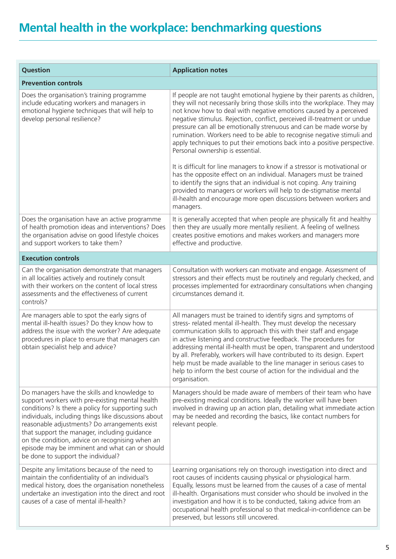| Question                                                                                                                                                                                                                                                                                                                                                                                                                                                 | <b>Application notes</b>                                                                                                                                                                                                                                                                                                                                                                                                                                                                                                                                                                                                                                                                                                  |  |
|----------------------------------------------------------------------------------------------------------------------------------------------------------------------------------------------------------------------------------------------------------------------------------------------------------------------------------------------------------------------------------------------------------------------------------------------------------|---------------------------------------------------------------------------------------------------------------------------------------------------------------------------------------------------------------------------------------------------------------------------------------------------------------------------------------------------------------------------------------------------------------------------------------------------------------------------------------------------------------------------------------------------------------------------------------------------------------------------------------------------------------------------------------------------------------------------|--|
| <b>Prevention controls</b>                                                                                                                                                                                                                                                                                                                                                                                                                               |                                                                                                                                                                                                                                                                                                                                                                                                                                                                                                                                                                                                                                                                                                                           |  |
| Does the organisation's training programme<br>include educating workers and managers in<br>emotional hygiene techniques that will help to<br>develop personal resilience?                                                                                                                                                                                                                                                                                | If people are not taught emotional hygiene by their parents as children,<br>they will not necessarily bring those skills into the workplace. They may<br>not know how to deal with negative emotions caused by a perceived<br>negative stimulus. Rejection, conflict, perceived ill-treatment or undue<br>pressure can all be emotionally strenuous and can be made worse by<br>rumination. Workers need to be able to recognise negative stimuli and<br>apply techniques to put their emotions back into a positive perspective.<br>Personal ownership is essential.<br>It is difficult for line managers to know if a stressor is motivational or<br>has the opposite effect on an individual. Managers must be trained |  |
|                                                                                                                                                                                                                                                                                                                                                                                                                                                          | to identify the signs that an individual is not coping. Any training<br>provided to managers or workers will help to de-stigmatise mental<br>ill-health and encourage more open discussions between workers and<br>managers.                                                                                                                                                                                                                                                                                                                                                                                                                                                                                              |  |
| Does the organisation have an active programme<br>of health promotion ideas and interventions? Does<br>the organisation advise on good lifestyle choices<br>and support workers to take them?                                                                                                                                                                                                                                                            | It is generally accepted that when people are physically fit and healthy<br>then they are usually more mentally resilient. A feeling of wellness<br>creates positive emotions and makes workers and managers more<br>effective and productive.                                                                                                                                                                                                                                                                                                                                                                                                                                                                            |  |
| <b>Execution controls</b>                                                                                                                                                                                                                                                                                                                                                                                                                                |                                                                                                                                                                                                                                                                                                                                                                                                                                                                                                                                                                                                                                                                                                                           |  |
| Can the organisation demonstrate that managers<br>in all localities actively and routinely consult<br>with their workers on the content of local stress<br>assessments and the effectiveness of current<br>controls?                                                                                                                                                                                                                                     | Consultation with workers can motivate and engage. Assessment of<br>stressors and their effects must be routinely and regularly checked, and<br>processes implemented for extraordinary consultations when changing<br>circumstances demand it.                                                                                                                                                                                                                                                                                                                                                                                                                                                                           |  |
| Are managers able to spot the early signs of<br>mental ill-health issues? Do they know how to<br>address the issue with the worker? Are adequate<br>procedures in place to ensure that managers can<br>obtain specialist help and advice?                                                                                                                                                                                                                | All managers must be trained to identify signs and symptoms of<br>stress- related mental ill-health. They must develop the necessary<br>communication skills to approach this with their staff and engage<br>in active listening and constructive feedback. The procedures for<br>addressing mental ill-health must be open, transparent and understood<br>by all. Preferably, workers will have contributed to its design. Expert<br>help must be made available to the line manager in serious cases to<br>help to inform the best course of action for the individual and the<br>organisation.                                                                                                                         |  |
| Do managers have the skills and knowledge to<br>support workers with pre-existing mental health<br>conditions? Is there a policy for supporting such<br>individuals, including things like discussions about<br>reasonable adjustments? Do arrangements exist<br>that support the manager, including guidance<br>on the condition, advice on recognising when an<br>episode may be imminent and what can or should<br>be done to support the individual? | Managers should be made aware of members of their team who have<br>pre-existing medical conditions. Ideally the worker will have been<br>involved in drawing up an action plan, detailing what immediate action<br>may be needed and recording the basics, like contact numbers for<br>relevant people.                                                                                                                                                                                                                                                                                                                                                                                                                   |  |
| Despite any limitations because of the need to<br>maintain the confidentiality of an individual's<br>medical history, does the organisation nonetheless<br>undertake an investigation into the direct and root<br>causes of a case of mental ill-health?                                                                                                                                                                                                 | Learning organisations rely on thorough investigation into direct and<br>root causes of incidents causing physical or physiological harm.<br>Equally, lessons must be learned from the causes of a case of mental<br>ill-health. Organisations must consider who should be involved in the<br>investigation and how it is to be conducted, taking advice from an<br>occupational health professional so that medical-in-confidence can be<br>preserved, but lessons still uncovered.                                                                                                                                                                                                                                      |  |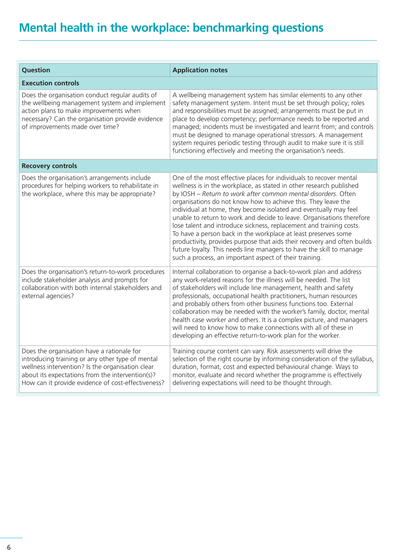| <b>Question</b>                                                                                                                                                                                                                                              | <b>Application notes</b>                                                                                                                                                                                                                                                                                                                                                                                                                                                                                                                                                                                                                                                                                                                                                        |  |
|--------------------------------------------------------------------------------------------------------------------------------------------------------------------------------------------------------------------------------------------------------------|---------------------------------------------------------------------------------------------------------------------------------------------------------------------------------------------------------------------------------------------------------------------------------------------------------------------------------------------------------------------------------------------------------------------------------------------------------------------------------------------------------------------------------------------------------------------------------------------------------------------------------------------------------------------------------------------------------------------------------------------------------------------------------|--|
| <b>Execution controls</b>                                                                                                                                                                                                                                    |                                                                                                                                                                                                                                                                                                                                                                                                                                                                                                                                                                                                                                                                                                                                                                                 |  |
| Does the organisation conduct regular audits of<br>the wellbeing management system and implement<br>action plans to make improvements when<br>necessary? Can the organisation provide evidence<br>of improvements made over time?                            | A wellbeing management system has similar elements to any other<br>safety management system. Intent must be set through policy; roles<br>and responsibilities must be assigned; arrangements must be put in<br>place to develop competency; performance needs to be reported and<br>managed; incidents must be investigated and learnt from; and controls<br>must be designed to manage operational stressors. A management<br>system requires periodic testing through audit to make sure it is still<br>functioning effectively and meeting the organisation's needs.                                                                                                                                                                                                         |  |
| <b>Recovery controls</b>                                                                                                                                                                                                                                     |                                                                                                                                                                                                                                                                                                                                                                                                                                                                                                                                                                                                                                                                                                                                                                                 |  |
| Does the organisation's arrangements include<br>procedures for helping workers to rehabilitate in<br>the workplace, where this may be appropriate?                                                                                                           | One of the most effective places for individuals to recover mental<br>wellness is in the workplace, as stated in other research published<br>by IOSH - Return to work after common mental disorders. Often<br>organisations do not know how to achieve this. They leave the<br>individual at home, they become isolated and eventually may feel<br>unable to return to work and decide to leave. Organisations therefore<br>lose talent and introduce sickness, replacement and training costs.<br>To have a person back in the workplace at least preserves some<br>productivity, provides purpose that aids their recovery and often builds<br>future loyalty. This needs line managers to have the skill to manage<br>such a process, an important aspect of their training. |  |
| Does the organisation's return-to-work procedures<br>include stakeholder analysis and prompts for<br>collaboration with both internal stakeholders and<br>external agencies?                                                                                 | Internal collaboration to organise a back-to-work plan and address<br>any work-related reasons for the illness will be needed. The list<br>of stakeholders will include line management, health and safety<br>professionals, occupational health practitioners, human resources<br>and probably others from other business functions too. External<br>collaboration may be needed with the worker's family, doctor, mental<br>health case worker and others. It is a complex picture, and managers<br>will need to know how to make connections with all of these in<br>developing an effective return-to-work plan for the worker.                                                                                                                                             |  |
| Does the organisation have a rationale for<br>introducing training or any other type of mental<br>wellness intervention? Is the organisation clear<br>about its expectations from the intervention(s)?<br>How can it provide evidence of cost-effectiveness? | Training course content can vary. Risk assessments will drive the<br>selection of the right course by informing consideration of the syllabus,<br>duration, format, cost and expected behavioural change. Ways to<br>monitor, evaluate and record whether the programme is effectively<br>delivering expectations will need to be thought through.                                                                                                                                                                                                                                                                                                                                                                                                                              |  |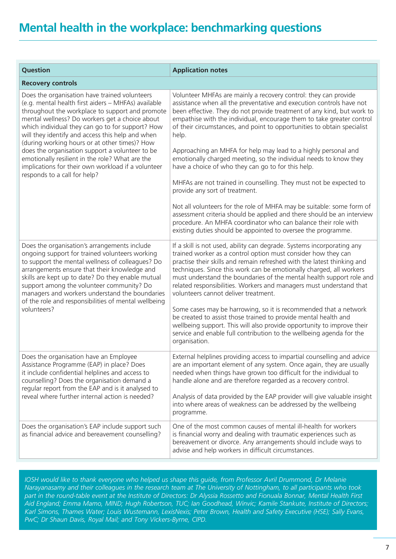| Question                                                                                                                                                                                                                                                                                                                                                                                                                                                                                                                                                       | <b>Application notes</b>                                                                                                                                                                                                                                                                                                                                                                                                                                                                                                                                                                                                                                                                                                                                                                                                                                                                                                                                                  |
|----------------------------------------------------------------------------------------------------------------------------------------------------------------------------------------------------------------------------------------------------------------------------------------------------------------------------------------------------------------------------------------------------------------------------------------------------------------------------------------------------------------------------------------------------------------|---------------------------------------------------------------------------------------------------------------------------------------------------------------------------------------------------------------------------------------------------------------------------------------------------------------------------------------------------------------------------------------------------------------------------------------------------------------------------------------------------------------------------------------------------------------------------------------------------------------------------------------------------------------------------------------------------------------------------------------------------------------------------------------------------------------------------------------------------------------------------------------------------------------------------------------------------------------------------|
| <b>Recovery controls</b>                                                                                                                                                                                                                                                                                                                                                                                                                                                                                                                                       |                                                                                                                                                                                                                                                                                                                                                                                                                                                                                                                                                                                                                                                                                                                                                                                                                                                                                                                                                                           |
| Does the organisation have trained volunteers<br>(e.g. mental health first aiders - MHFAs) available<br>throughout the workplace to support and promote<br>mental wellness? Do workers get a choice about<br>which individual they can go to for support? How<br>will they identify and access this help and when<br>(during working hours or at other times)? How<br>does the organisation support a volunteer to be<br>emotionally resilient in the role? What are the<br>implications for their own workload if a volunteer<br>responds to a call for help? | Volunteer MHFAs are mainly a recovery control: they can provide<br>assistance when all the preventative and execution controls have not<br>been effective. They do not provide treatment of any kind, but work to<br>empathise with the individual, encourage them to take greater control<br>of their circumstances, and point to opportunities to obtain specialist<br>help.<br>Approaching an MHFA for help may lead to a highly personal and<br>emotionally charged meeting, so the individual needs to know they<br>have a choice of who they can go to for this help.<br>MHFAs are not trained in counselling. They must not be expected to<br>provide any sort of treatment.<br>Not all volunteers for the role of MHFA may be suitable: some form of<br>assessment criteria should be applied and there should be an interview<br>procedure. An MHFA coordinator who can balance their role with<br>existing duties should be appointed to oversee the programme. |
| Does the organisation's arrangements include<br>ongoing support for trained volunteers working<br>to support the mental wellness of colleagues? Do<br>arrangements ensure that their knowledge and<br>skills are kept up to date? Do they enable mutual<br>support among the volunteer community? Do<br>managers and workers understand the boundaries<br>of the role and responsibilities of mental wellbeing<br>volunteers?                                                                                                                                  | If a skill is not used, ability can degrade. Systems incorporating any<br>trained worker as a control option must consider how they can<br>practise their skills and remain refreshed with the latest thinking and<br>techniques. Since this work can be emotionally charged, all workers<br>must understand the boundaries of the mental health support role and<br>related responsibilities. Workers and managers must understand that<br>volunteers cannot deliver treatment.<br>Some cases may be harrowing, so it is recommended that a network<br>be created to assist those trained to provide mental health and<br>wellbeing support. This will also provide opportunity to improve their<br>service and enable full contribution to the wellbeing agenda for the<br>organisation.                                                                                                                                                                                |
| Does the organisation have an Employee<br>Assistance Programme (EAP) in place? Does<br>it include confidential helplines and access to<br>counselling? Does the organisation demand a<br>regular report from the EAP and is it analysed to<br>reveal where further internal action is needed?                                                                                                                                                                                                                                                                  | External helplines providing access to impartial counselling and advice<br>are an important element of any system. Once again, they are usually<br>needed when things have grown too difficult for the individual to<br>handle alone and are therefore regarded as a recovery control.<br>Analysis of data provided by the EAP provider will give valuable insight<br>into where areas of weakness can be addressed by the wellbeing<br>programme.                                                                                                                                                                                                                                                                                                                                                                                                                                                                                                                        |
| Does the organisation's EAP include support such<br>as financial advice and bereavement counselling?                                                                                                                                                                                                                                                                                                                                                                                                                                                           | One of the most common causes of mental ill-health for workers<br>is financial worry and dealing with traumatic experiences such as<br>bereavement or divorce. Any arrangements should include ways to<br>advise and help workers in difficult circumstances.                                                                                                                                                                                                                                                                                                                                                                                                                                                                                                                                                                                                                                                                                                             |

*IOSH would like to thank everyone who helped us shape this guide, from Professor Avril Drummond, Dr Melanie Narayanasamy and their colleagues in the research team at The University of Nottingham, to all participants who took part in the round-table event at the Institute of Directors: Dr Alyssia Rossetto and Fionuala Bonnar, Mental Health First Aid England; Emma Mamo, MIND; Hugh Robertson, TUC; Ian Goodhead, Winvic; Kamile Stankute, Institute of Directors; Karl Simons, Thames Water; Louis Wustemann, LexisNexis; Peter Brown, Health and Safety Executive (HSE); Sally Evans, PwC; Dr Shaun Davis, Royal Mail; and Tony Vickers-Byrne, CIPD.*